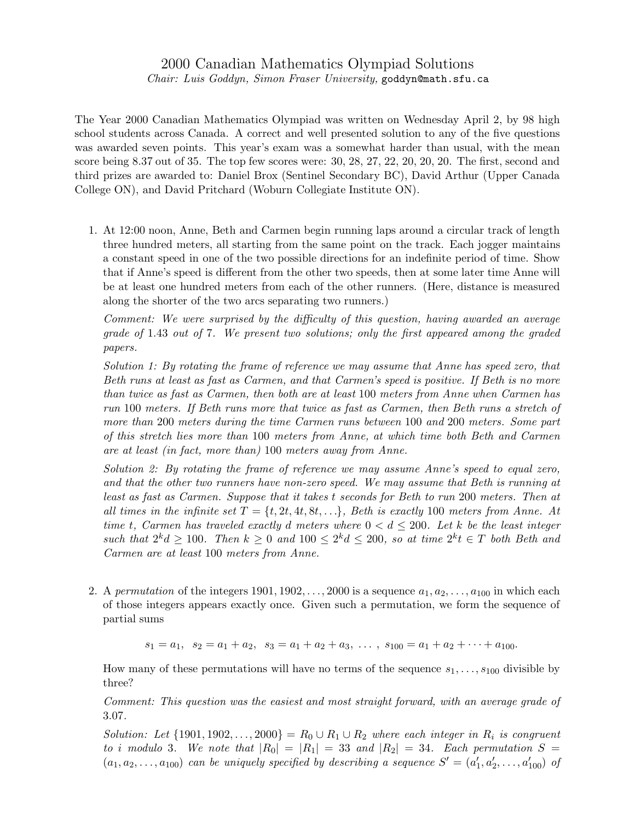## 2000 Canadian Mathematics Olympiad Solutions

Chair: Luis Goddyn, Simon Fraser University, goddyn@math.sfu.ca

The Year 2000 Canadian Mathematics Olympiad was written on Wednesday April 2, by 98 high school students across Canada. A correct and well presented solution to any of the five questions was awarded seven points. This year's exam was a somewhat harder than usual, with the mean score being 8.37 out of 35. The top few scores were: 30, 28, 27, 22, 20, 20, 20. The first, second and third prizes are awarded to: Daniel Brox (Sentinel Secondary BC), David Arthur (Upper Canada College ON), and David Pritchard (Woburn Collegiate Institute ON).

1. At 12:00 noon, Anne, Beth and Carmen begin running laps around a circular track of length three hundred meters, all starting from the same point on the track. Each jogger maintains a constant speed in one of the two possible directions for an indefinite period of time. Show that if Anne's speed is different from the other two speeds, then at some later time Anne will be at least one hundred meters from each of the other runners. (Here, distance is measured along the shorter of the two arcs separating two runners.)

Comment: We were surprised by the difficulty of this question, having awarded an average grade of 1.43 out of 7. We present two solutions; only the first appeared among the graded papers.

Solution 1: By rotating the frame of reference we may assume that Anne has speed zero, that Beth runs at least as fast as Carmen, and that Carmen's speed is positive. If Beth is no more than twice as fast as Carmen, then both are at least 100 meters from Anne when Carmen has run 100 meters. If Beth runs more that twice as fast as Carmen, then Beth runs a stretch of more than 200 meters during the time Carmen runs between 100 and 200 meters. Some part of this stretch lies more than 100 meters from Anne, at which time both Beth and Carmen are at least (in fact, more than) 100 meters away from Anne.

Solution 2: By rotating the frame of reference we may assume Anne's speed to equal zero, and that the other two runners have non-zero speed. We may assume that Beth is running at least as fast as Carmen. Suppose that it takes t seconds for Beth to run 200 meters. Then at all times in the infinite set  $T = \{t, 2t, 4t, 8t, \ldots\}$ , Beth is exactly 100 meters from Anne. At time t, Carmen has traveled exactly d meters where  $0 < d \leq 200$ . Let k be the least integer such that  $2^k d \ge 100$ . Then  $k \ge 0$  and  $100 \le 2^k d \le 200$ , so at time  $2^k t \in T$  both Beth and Carmen are at least 100 meters from Anne.

2. A permutation of the integers 1901, 1902,  $\dots$ , 2000 is a sequence  $a_1, a_2, \dots, a_{100}$  in which each of those integers appears exactly once. Given such a permutation, we form the sequence of partial sums

$$
s_1 = a_1
$$
,  $s_2 = a_1 + a_2$ ,  $s_3 = a_1 + a_2 + a_3$ , ...,  $s_{100} = a_1 + a_2 + \cdots + a_{100}$ .

How many of these permutations will have no terms of the sequence  $s_1, \ldots, s_{100}$  divisible by three?

Comment: This question was the easiest and most straight forward, with an average grade of 3.07.

Solution: Let  $\{1901, 1902, \ldots, 2000\} = R_0 \cup R_1 \cup R_2$  where each integer in  $R_i$  is congruent to i modulo 3. We note that  $|R_0| = |R_1| = 33$  and  $|R_2| = 34$ . Each permutation  $S =$  $(a_1, a_2, \ldots, a_{100})$  can be uniquely specified by describing a sequence  $S' = (a'_1, a'_2, \ldots, a'_{100})$  of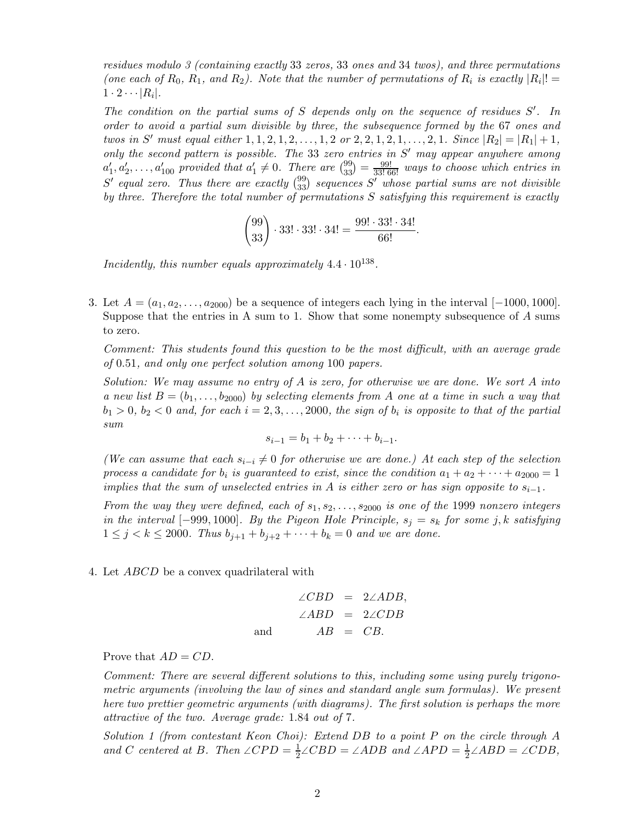residues modulo 3 (containing exactly 33 zeros, 33 ones and 34 twos), and three permutations (one each of  $R_0, R_1,$  and  $R_2$ ). Note that the number of permutations of  $R_i$  is exactly  $|R_i|! =$  $1 \cdot 2 \cdots |R_i|$ .

The condition on the partial sums of  $S$  depends only on the sequence of residues  $S'$ . In order to avoid a partial sum divisible by three, the subsequence formed by the 67 ones and twos in S' must equal either  $1, 1, 2, 1, 2, \ldots, 1, 2$  or  $2, 2, 1, 2, 1, \ldots, 2, 1$ . Since  $|R_2| = |R_1| + 1$ , only the second pattern is possible. The 33 zero entries in  $S'$  may appear anywhere among  $a'_1, a'_2, \ldots, a'_{100}$  provided that  $a'_1 \neq 0$ . There are  $\binom{99}{33} = \frac{99!}{33!66!}$  ways to choose which entries in  $S'$  equal zero. Thus there are exactly  $\binom{99}{33}$  sequences  $S'$  whose partial sums are not divisible by three. Therefore the total number of permutations S satisfying this requirement is exactly

$$
\binom{99}{33} \cdot 33! \cdot 33! \cdot 34! = \frac{99! \cdot 33! \cdot 34!}{66!}.
$$

Incidently, this number equals approximately  $4.4 \cdot 10^{138}$ .

3. Let  $A = (a_1, a_2, \ldots, a_{2000})$  be a sequence of integers each lying in the interval [−1000, 1000]. Suppose that the entries in A sum to 1. Show that some nonempty subsequence of A sums to zero.

Comment: This students found this question to be the most difficult, with an average grade of 0.51, and only one perfect solution among 100 papers.

Solution: We may assume no entry of A is zero, for otherwise we are done. We sort A into a new list  $B = (b_1, \ldots, b_{2000})$  by selecting elements from A one at a time in such a way that  $b_1 > 0$ ,  $b_2 < 0$  and, for each  $i = 2, 3, \ldots, 2000$ , the sign of  $b_i$  is opposite to that of the partial sum

$$
s_{i-1} = b_1 + b_2 + \cdots + b_{i-1}.
$$

(We can assume that each  $s_{i-i} \neq 0$  for otherwise we are done.) At each step of the selection process a candidate for  $b_i$  is guaranteed to exist, since the condition  $a_1 + a_2 + \cdots + a_{2000} = 1$ implies that the sum of unselected entries in A is either zero or has sign opposite to  $s_{i-1}$ .

From the way they were defined, each of  $s_1, s_2, \ldots, s_{2000}$  is one of the 1999 nonzero integers in the interval [−999, 1000]. By the Pigeon Hole Principle,  $s_j = s_k$  for some j, k satisfying  $1 \le j < k \le 2000$ . Thus  $b_{j+1} + b_{j+2} + \cdots + b_k = 0$  and we are done.

4. Let ABCD be a convex quadrilateral with

$$
\angle CBD = 2\angle ADB,
$$
  
\n
$$
\angle ABD = 2\angle CDB
$$
  
\nand 
$$
AB = CB.
$$

Prove that  $AD = CD$ .

Comment: There are several different solutions to this, including some using purely trigonometric arguments (involving the law of sines and standard angle sum formulas). We present here two prettier geometric arguments (with diagrams). The first solution is perhaps the more attractive of the two. Average grade: 1.84 out of 7.

Solution 1 (from contestant Keon Choi): Extend DB to a point P on the circle through A and C centered at B. Then  $\angle CPD = \frac{1}{2} \angle CBD = \angle ADB$  and  $\angle APD = \frac{1}{2} \angle ABD = \angle CDB$ ,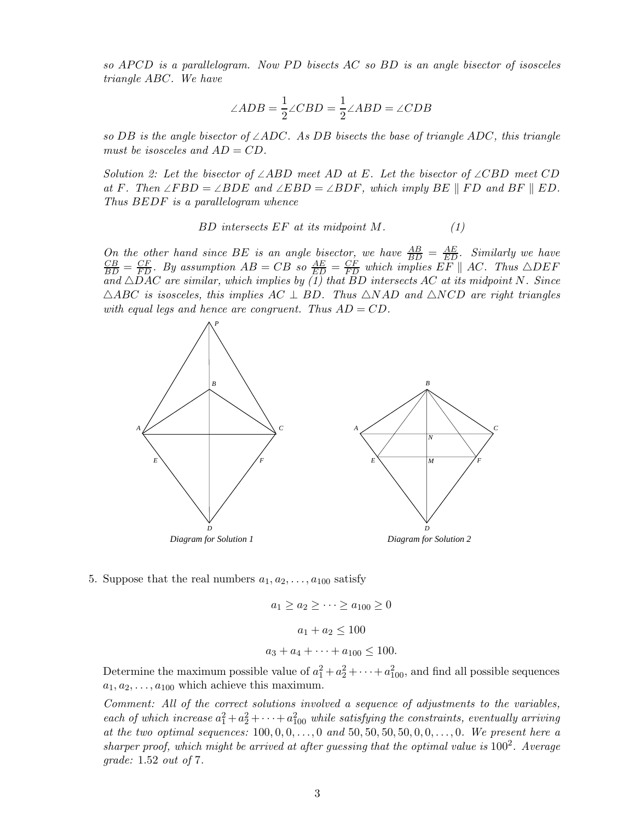so  $APCD$  is a parallelogram. Now PD bisects AC so BD is an angle bisector of isosceles triangle ABC. We have

$$
\angle ADB = \frac{1}{2} \angle CBD = \frac{1}{2} \angle ABD = \angle CDB
$$

so DB is the angle bisector of  $\angle ADC$ . As DB bisects the base of triangle ADC, this triangle must be isosceles and  $AD = CD$ .

Solution 2: Let the bisector of  $\angle ABD$  meet AD at E. Let the bisector of  $\angle CBD$  meet CD at F. Then  $\angle FBD = \angle BDE$  and  $\angle EBD = \angle BDF$ , which imply BE || FD and BF || ED. Thus BEDF is a parallelogram whence

$$
BD\ intersects EF\ at\ its\ midpoint\ M.
$$
 (1)

On the other hand since BE is an angle bisector, we have  $\frac{AB}{BD} = \frac{AE}{ED}$ . Similarly we have  $\frac{CB}{BD} = \frac{CF}{FD}$ . By assumption  $AB = CB$  so  $\frac{AE}{ED} = \frac{CF}{FD}$  which implies  $EF \parallel AC$ . Thus  $\triangle DEF$ and  $\triangle DAC$  are similar, which implies by (1) that BD intersects AC at its midpoint N. Since  $\triangle ABC$  is isosceles, this implies  $AC \perp BD$ . Thus  $\triangle NAD$  and  $\triangle NCD$  are right triangles with equal legs and hence are congruent. Thus  $AD = CD$ .



5. Suppose that the real numbers  $a_1, a_2, \ldots, a_{100}$  satisfy

$$
a_1 \ge a_2 \ge \cdots \ge a_{100} \ge 0
$$
  
 $a_1 + a_2 \le 100$   
 $a_3 + a_4 + \cdots + a_{100} \le 100.$ 

Determine the maximum possible value of  $a_1^2 + a_2^2 + \cdots + a_{100}^2$ , and find all possible sequences  $a_1, a_2, \ldots, a_{100}$  which achieve this maximum.

Comment: All of the correct solutions involved a sequence of adjustments to the variables, each of which increase  $a_1^2 + a_2^2 + \cdots + a_{100}^2$  while satisfying the constraints, eventually arriving at the two optimal sequences:  $100, 0, 0, \ldots, 0$  and  $50, 50, 50, 50, 0, 0, \ldots, 0$ . We present here a sharper proof, which might be arrived at after guessing that the optimal value is  $100^2$ . Average grade: 1.52 out of 7.